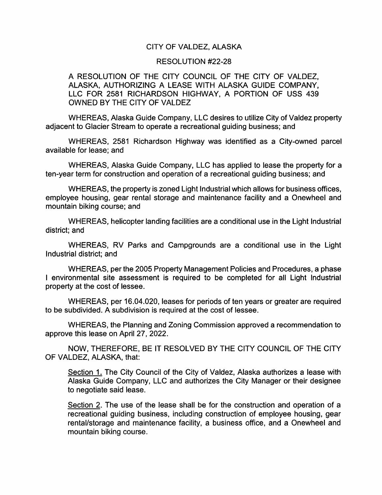## CITY OF VALDEZ, ALASKA

## RESOLUTION #22-28

## A RESOLUTION OF THE CITY COUNCIL OF THE CITY OF VALDEZ, ALASKA. AUTHORIZING A LEASE WITH ALASKA GUIDE COMPANY. LLC FOR 2581 RICHARDSON HIGHWAY. A PORTION OF USS 439 OWNED BY THE CITY OF VALDEZ

WHEREAS. Alaska Guide Company. LLC desires to utilize City of Valdez property adjacent to Glacier Stream to operate a recreational guiding business; and

WHEREAS. 2581 Richardson Highway was identified as a City-owned parcel available for lease; and

WHEREAS. Alaska Guide Company. LLC has applied to lease the property for a ten-year term for construction and operation of a recreational guiding business; and

WHEREAS, the property is zoned Light Industrial which allows for business offices, employee housing, gear rental storage and maintenance facility and a Onewheel and mountain biking course; and

WHEREAS, helicopter landing facilities are a conditional use in the Light Industrial district; and

WHEREAS. RV Parks and Campgrounds are a conditional use in the Light Industrial district; and

WHEREAS, per the 2005 Property Management Policies and Procedures, a phase I environmental site assessment is required to be completed for all Light Industrial property at the cost of lessee.

WHEREAS, per 16.04.020. leases for periods of ten years or greater are required to be subdivided. A subdivision is required at the cost of lessee.

WHEREAS, the Planning and Zoning Commission approved a recommendation to approve this lease on April 27. 2022.

NOW. THEREFORE. BE IT RESOLVED BY THE CITY COUNCIL OF THE CITY OF VALDEZ. ALASKA, that:

Section 1. The City Council of the City of Valdez. Alaska authorizes a lease with Alaska Guide Company. LLC and authorizes the City Manager or their designee to negotiate said lease.

Section 2. The use of the lease shall be for the construction and operation of a recreational guiding business, including construction of employee housing, gear rental/storage and maintenance facility, a business office, and a Onewheel and mountain biking course.